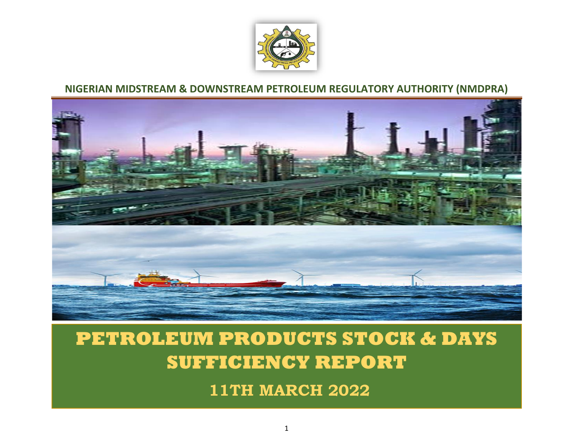

## **NIGERIAN MIDSTREAM & DOWNSTREAM PETROLEUM REGULATORY AUTHORITY (NMDPRA)**



## **PETROLEUM PRODUCTS STOCK & DAYS SUFFICIENCY REPORT**

**11TH MARCH 2022**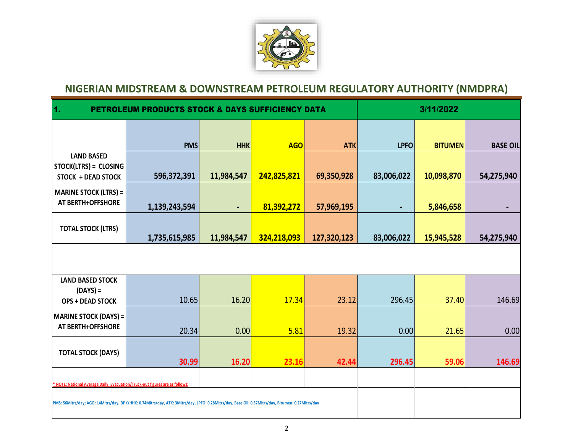

## **NIGERIAN MIDSTREAM & DOWNSTREAM PETROLEUM REGULATORY AUTHORITY (NMDPRA)**

| $\mathbf{1}$<br><b>PETROLEUM PRODUCTS STOCK &amp; DAYS SUFFICIENCY DATA</b>                                                                       |               |                |             |             |                | 3/11/2022      |                 |  |  |
|---------------------------------------------------------------------------------------------------------------------------------------------------|---------------|----------------|-------------|-------------|----------------|----------------|-----------------|--|--|
|                                                                                                                                                   | <b>PMS</b>    | <b>HHK</b>     | <b>AGO</b>  | <b>ATK</b>  | <b>LPFO</b>    | <b>BITUMEN</b> | <b>BASE OIL</b> |  |  |
| <b>LAND BASED</b><br>STOCK(LTRS) = CLOSING<br><b>STOCK + DEAD STOCK</b>                                                                           | 596,372,391   | 11,984,547     | 242,825,821 | 69,350,928  | 83,006,022     | 10,098,870     | 54,275,940      |  |  |
| <b>MARINE STOCK (LTRS) =</b><br>AT BERTH+OFFSHORE                                                                                                 | 1,139,243,594 | $\blacksquare$ | 81,392,272  | 57,969,195  | $\blacksquare$ | 5,846,658      |                 |  |  |
| <b>TOTAL STOCK (LTRS)</b>                                                                                                                         | 1,735,615,985 | 11,984,547     | 324,218,093 | 127,320,123 | 83,006,022     | 15,945,528     | 54,275,940      |  |  |
|                                                                                                                                                   |               |                |             |             |                |                |                 |  |  |
| <b>LAND BASED STOCK</b><br>$(DAYS) =$<br><b>OPS + DEAD STOCK</b>                                                                                  | 10.65         | 16.20          | 17.34       | 23.12       | 296.45         | 37.40          | 146.69          |  |  |
| <b>MARINE STOCK (DAYS) =</b><br>AT BERTH+OFFSHORE                                                                                                 | 20.34         | 0.00           | 5.81        | 19.32       | 0.00           | 21.65          | 0.00            |  |  |
| <b>TOTAL STOCK (DAYS)</b>                                                                                                                         | 30.99         | 16.20          | 23.16       | 42.44       | 296.45         | 59.06          | 146.69          |  |  |
| * NOTE: National Average Daily Evacuation/Truck-out figures are as follows:                                                                       |               |                |             |             |                |                |                 |  |  |
| PMS: 56Mltrs/day; AGO: 14Mltrs/day, DPK/HHK: 0.74Mltrs/day, ATK: 3Mltrs/day, LPFO: 0.28Mltrs/day, Base Oil: 0.37Mltrs/day, Bitumen: 0.27Mltrs/day |               |                |             |             |                |                |                 |  |  |